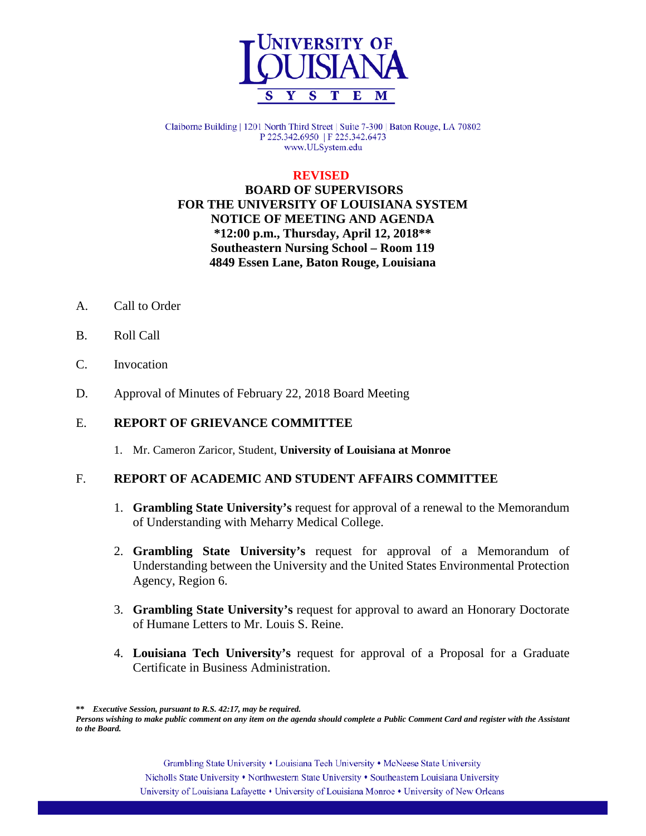

Claiborne Building | 1201 North Third Street | Suite 7-300 | Baton Rouge, LA 70802 P 225.342.6950 | F 225.342.6473 www.ULSystem.edu

#### **REVISED**

## **BOARD OF SUPERVISORS FOR THE UNIVERSITY OF LOUISIANA SYSTEM NOTICE OF MEETING AND AGENDA \*12:00 p.m., Thursday, April 12, 2018\*\* Southeastern Nursing School – Room 119 4849 Essen Lane, Baton Rouge, Louisiana**

- A. Call to Order
- B. Roll Call
- C. Invocation
- D. Approval of Minutes of February 22, 2018 Board Meeting

### E. **REPORT OF GRIEVANCE COMMITTEE**

1. Mr. Cameron Zaricor, Student, **University of Louisiana at Monroe**

#### F. **REPORT OF ACADEMIC AND STUDENT AFFAIRS COMMITTEE**

- 1. **Grambling State University's** request for approval of a renewal to the Memorandum of Understanding with Meharry Medical College.
- 2. **Grambling State University's** request for approval of a Memorandum of Understanding between the University and the United States Environmental Protection Agency, Region 6.
- 3. **Grambling State University's** request for approval to award an Honorary Doctorate of Humane Letters to Mr. Louis S. Reine.
- 4. **Louisiana Tech University's** request for approval of a Proposal for a Graduate Certificate in Business Administration.

**\*\*** *Executive Session, pursuant to R.S. 42:17, may be required.*

Grambling State University • Louisiana Tech University • McNeese State University Nicholls State University • Northwestern State University • Southeastern Louisiana University University of Louisiana Lafayette • University of Louisiana Monroe • University of New Orleans

*Persons wishing to make public comment on any item on the agenda should complete a Public Comment Card and register with the Assistant to the Board.*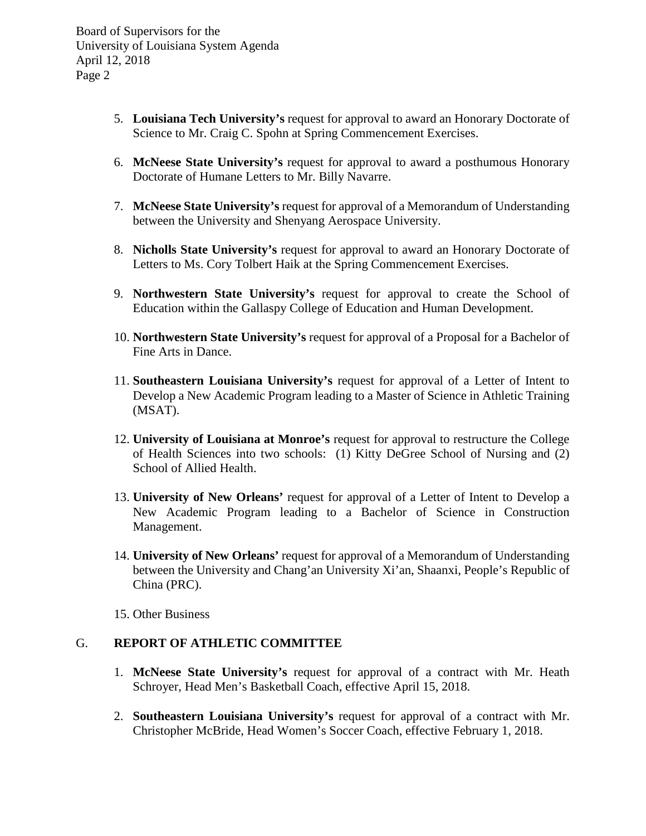- 5. **Louisiana Tech University's** request for approval to award an Honorary Doctorate of Science to Mr. Craig C. Spohn at Spring Commencement Exercises.
- 6. **McNeese State University's** request for approval to award a posthumous Honorary Doctorate of Humane Letters to Mr. Billy Navarre.
- 7. **McNeese State University's** request for approval of a Memorandum of Understanding between the University and Shenyang Aerospace University.
- 8. **Nicholls State University's** request for approval to award an Honorary Doctorate of Letters to Ms. Cory Tolbert Haik at the Spring Commencement Exercises.
- 9. **Northwestern State University's** request for approval to create the School of Education within the Gallaspy College of Education and Human Development.
- 10. **Northwestern State University's** request for approval of a Proposal for a Bachelor of Fine Arts in Dance.
- 11. **Southeastern Louisiana University's** request for approval of a Letter of Intent to Develop a New Academic Program leading to a Master of Science in Athletic Training (MSAT).
- 12. **University of Louisiana at Monroe's** request for approval to restructure the College of Health Sciences into two schools: (1) Kitty DeGree School of Nursing and (2) School of Allied Health.
- 13. **University of New Orleans'** request for approval of a Letter of Intent to Develop a New Academic Program leading to a Bachelor of Science in Construction Management.
- 14. **University of New Orleans'** request for approval of a Memorandum of Understanding between the University and Chang'an University Xi'an, Shaanxi, People's Republic of China (PRC).
- 15. Other Business

### G. **REPORT OF ATHLETIC COMMITTEE**

- 1. **McNeese State University's** request for approval of a contract with Mr. Heath Schroyer, Head Men's Basketball Coach, effective April 15, 2018.
- 2. **Southeastern Louisiana University's** request for approval of a contract with Mr. Christopher McBride, Head Women's Soccer Coach, effective February 1, 2018.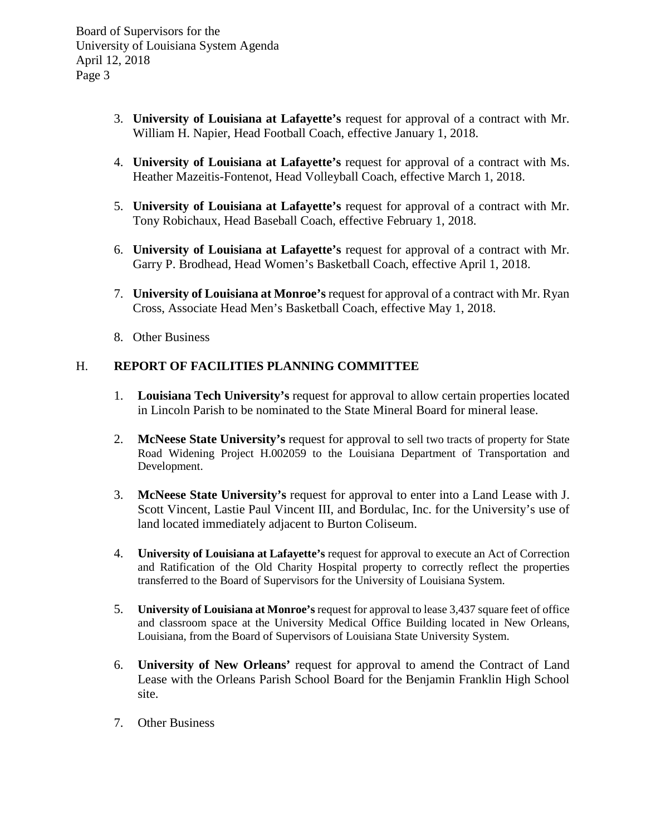- 3. **University of Louisiana at Lafayette's** request for approval of a contract with Mr. William H. Napier, Head Football Coach, effective January 1, 2018.
- 4. **University of Louisiana at Lafayette's** request for approval of a contract with Ms. Heather Mazeitis-Fontenot, Head Volleyball Coach, effective March 1, 2018.
- 5. **University of Louisiana at Lafayette's** request for approval of a contract with Mr. Tony Robichaux, Head Baseball Coach, effective February 1, 2018.
- 6. **University of Louisiana at Lafayette's** request for approval of a contract with Mr. Garry P. Brodhead, Head Women's Basketball Coach, effective April 1, 2018.
- 7. **University of Louisiana at Monroe's** request for approval of a contract with Mr. Ryan Cross, Associate Head Men's Basketball Coach, effective May 1, 2018.
- 8. Other Business

## H. **REPORT OF FACILITIES PLANNING COMMITTEE**

- 1. **Louisiana Tech University's** request for approval to allow certain properties located in Lincoln Parish to be nominated to the State Mineral Board for mineral lease.
- 2. **McNeese State University's** request for approval to sell two tracts of property for State Road Widening Project H.002059 to the Louisiana Department of Transportation and Development.
- 3. **McNeese State University's** request for approval to enter into a Land Lease with J. Scott Vincent, Lastie Paul Vincent III, and Bordulac, Inc. for the University's use of land located immediately adjacent to Burton Coliseum.
- 4. **University of Louisiana at Lafayette's** request for approval to execute an Act of Correction and Ratification of the Old Charity Hospital property to correctly reflect the properties transferred to the Board of Supervisors for the University of Louisiana System.
- 5. **University of Louisiana at Monroe's** request for approval to lease 3,437 square feet of office and classroom space at the University Medical Office Building located in New Orleans, Louisiana, from the Board of Supervisors of Louisiana State University System.
- 6. **University of New Orleans'** request for approval to amend the Contract of Land Lease with the Orleans Parish School Board for the Benjamin Franklin High School site.
- 7. Other Business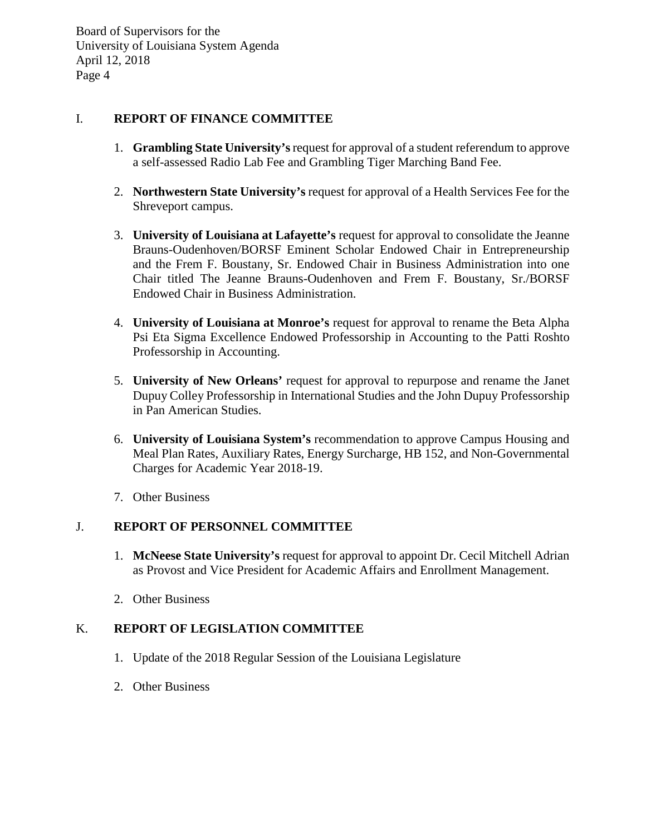### I. **REPORT OF FINANCE COMMITTEE**

- 1. **Grambling State University's**request for approval of a student referendum to approve a self-assessed Radio Lab Fee and Grambling Tiger Marching Band Fee.
- 2. **Northwestern State University's** request for approval of a Health Services Fee for the Shreveport campus.
- 3. **University of Louisiana at Lafayette's** request for approval to consolidate the Jeanne Brauns-Oudenhoven/BORSF Eminent Scholar Endowed Chair in Entrepreneurship and the Frem F. Boustany, Sr. Endowed Chair in Business Administration into one Chair titled The Jeanne Brauns-Oudenhoven and Frem F. Boustany, Sr./BORSF Endowed Chair in Business Administration.
- 4. **University of Louisiana at Monroe's** request for approval to rename the Beta Alpha Psi Eta Sigma Excellence Endowed Professorship in Accounting to the Patti Roshto Professorship in Accounting.
- 5. **University of New Orleans'** request for approval to repurpose and rename the Janet Dupuy Colley Professorship in International Studies and the John Dupuy Professorship in Pan American Studies.
- 6. **University of Louisiana System's** recommendation to approve Campus Housing and Meal Plan Rates, Auxiliary Rates, Energy Surcharge, HB 152, and Non-Governmental Charges for Academic Year 2018-19.
- 7. Other Business

### J. **REPORT OF PERSONNEL COMMITTEE**

- 1. **McNeese State University's** request for approval to appoint Dr. Cecil Mitchell Adrian as Provost and Vice President for Academic Affairs and Enrollment Management.
- 2. Other Business

## K. **REPORT OF LEGISLATION COMMITTEE**

- 1. Update of the 2018 Regular Session of the Louisiana Legislature
- 2. Other Business